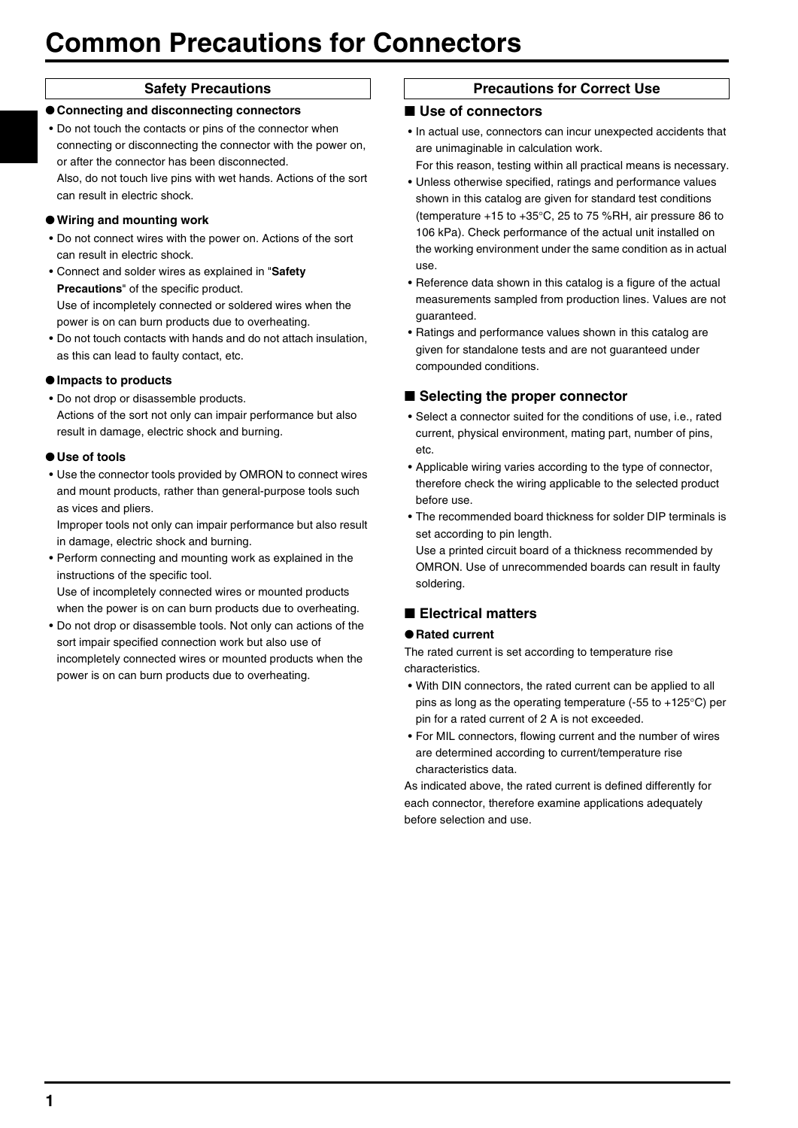# **Common Precautions for Connectors**

●**Connecting and disconnecting connectors** • Do not touch the contacts or pins of the connector when connecting or disconnecting the connector with the power on, or after the connector has been disconnected.

Also, do not touch live pins with wet hands. Actions of the sort can result in electric shock.

#### ●**Wiring and mounting work**

- Do not connect wires with the power on. Actions of the sort can result in electric shock.
- Connect and solder wires as explained in "**Safety Precautions**" of the specific product. Use of incompletely connected or soldered wires when the power is on can burn products due to overheating.
- Do not touch contacts with hands and do not attach insulation, as this can lead to faulty contact, etc.

#### ●**Impacts to products**

• Do not drop or disassemble products. Actions of the sort not only can impair performance but also result in damage, electric shock and burning.

#### ●**Use of tools**

• Use the connector tools provided by OMRON to connect wires and mount products, rather than general-purpose tools such as vices and pliers.

Improper tools not only can impair performance but also result in damage, electric shock and burning.

- Perform connecting and mounting work as explained in the instructions of the specific tool. Use of incompletely connected wires or mounted products
- when the power is on can burn products due to overheating. • Do not drop or disassemble tools. Not only can actions of the sort impair specified connection work but also use of incompletely connected wires or mounted products when the power is on can burn products due to overheating.

#### **Safety Precautions**  Precautions **Precautions for Correct Use**

#### ■ Use of connectors

- In actual use, connectors can incur unexpected accidents that are unimaginable in calculation work.
- For this reason, testing within all practical means is necessary. • Unless otherwise specified, ratings and performance values
- shown in this catalog are given for standard test conditions (temperature +15 to +35°C, 25 to 75 %RH, air pressure 86 to 106 kPa). Check performance of the actual unit installed on the working environment under the same condition as in actual use.
- Reference data shown in this catalog is a figure of the actual measurements sampled from production lines. Values are not guaranteed.
- Ratings and performance values shown in this catalog are given for standalone tests and are not guaranteed under compounded conditions.

#### ■ Selecting the proper connector

- Select a connector suited for the conditions of use, i.e., rated current, physical environment, mating part, number of pins, etc.
- Applicable wiring varies according to the type of connector, therefore check the wiring applicable to the selected product before use.
- The recommended board thickness for solder DIP terminals is set according to pin length.

Use a printed circuit board of a thickness recommended by OMRON. Use of unrecommended boards can result in faulty soldering.

### ■ **Electrical matters**

#### ●**Rated current**

The rated current is set according to temperature rise characteristics.

- With DIN connectors, the rated current can be applied to all pins as long as the operating temperature (-55 to +125°C) per pin for a rated current of 2 A is not exceeded.
- For MIL connectors, flowing current and the number of wires are determined according to current/temperature rise characteristics data.

As indicated above, the rated current is defined differently for each connector, therefore examine applications adequately before selection and use.